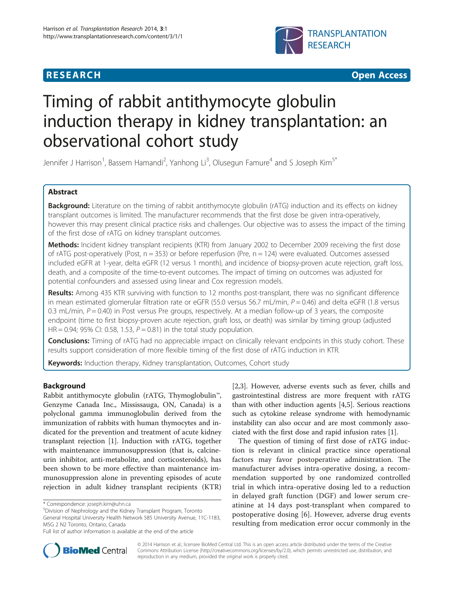





# Timing of rabbit antithymocyte globulin induction therapy in kidney transplantation: an observational cohort study

Jennifer J Harrison<sup>1</sup>, Bassem Hamandi<sup>2</sup>, Yanhong Li<sup>3</sup>, Olusegun Famure<sup>4</sup> and S Joseph Kim<sup>5\*</sup>

# Abstract

Background: Literature on the timing of rabbit antithymocyte globulin (rATG) induction and its effects on kidney transplant outcomes is limited. The manufacturer recommends that the first dose be given intra-operatively, however this may present clinical practice risks and challenges. Our objective was to assess the impact of the timing of the first dose of rATG on kidney transplant outcomes.

Methods: Incident kidney transplant recipients (KTR) from January 2002 to December 2009 receiving the first dose of rATG post-operatively (Post,  $n = 353$ ) or before reperfusion (Pre,  $n = 124$ ) were evaluated. Outcomes assessed included eGFR at 1-year, delta eGFR (12 versus 1 month), and incidence of biopsy-proven acute rejection, graft loss, death, and a composite of the time-to-event outcomes. The impact of timing on outcomes was adjusted for potential confounders and assessed using linear and Cox regression models.

Results: Among 435 KTR surviving with function to 12 months post-transplant, there was no significant difference in mean estimated glomerular filtration rate or eGFR (55.0 versus 56.7 mL/min,  $P = 0.46$ ) and delta eGFR (1.8 versus 0.3 mL/min,  $P = 0.40$ ) in Post versus Pre groups, respectively. At a median follow-up of 3 years, the composite endpoint (time to first biopsy-proven acute rejection, graft loss, or death) was similar by timing group (adjusted HR = 0.94; 95% CI: 0.58, 1.53,  $P = 0.81$ ) in the total study population.

Conclusions: Timing of rATG had no appreciable impact on clinically relevant endpoints in this study cohort. These results support consideration of more flexible timing of the first dose of rATG induction in KTR.

Keywords: Induction therapy, Kidney transplantation, Outcomes, Cohort study

## Background

Rabbit antithymocyte globulin (rATG, Thymoglobulin™, Genzyme Canada Inc., Mississauga, ON, Canada) is a polyclonal gamma immunoglobulin derived from the immunization of rabbits with human thymocytes and indicated for the prevention and treatment of acute kidney transplant rejection [\[1](#page-7-0)]. Induction with rATG, together with maintenance immunosuppression (that is, calcineurin inhibitor, anti-metabolite, and corticosteroids), has been shown to be more effective than maintenance immunosuppression alone in preventing episodes of acute rejection in adult kidney transplant recipients (KTR)

[[2,3\]](#page-7-0). However, adverse events such as fever, chills and gastrointestinal distress are more frequent with rATG than with other induction agents [[4,](#page-7-0)[5\]](#page-8-0). Serious reactions such as cytokine release syndrome with hemodynamic instability can also occur and are most commonly associated with the first dose and rapid infusion rates [\[1](#page-7-0)].

The question of timing of first dose of rATG induction is relevant in clinical practice since operational factors may favor postoperative administration. The manufacturer advises intra-operative dosing, a recommendation supported by one randomized controlled trial in which intra-operative dosing led to a reduction in delayed graft function (DGF) and lower serum creatinine at 14 days post-transplant when compared to postoperative dosing [\[6](#page-8-0)]. However, adverse drug events resulting from medication error occur commonly in the



© 2014 Harrison et al.; licensee BioMed Central Ltd. This is an open access article distributed under the terms of the Creative Commons Attribution License [\(http://creativecommons.org/licenses/by/2.0\)](http://creativecommons.org/licenses/by/2.0), which permits unrestricted use, distribution, and reproduction in any medium, provided the original work is properly cited.

<sup>\*</sup> Correspondence: [joseph.kim@uhn.ca](mailto:joseph.kim@uhn.ca) <sup>5</sup>

Division of Nephrology and the Kidney Transplant Program, Toronto General Hospital University Health Network 585 University Avenue, 11C-1183, M5G 2 N2 Toronto, Ontario, Canada

Full list of author information is available at the end of the article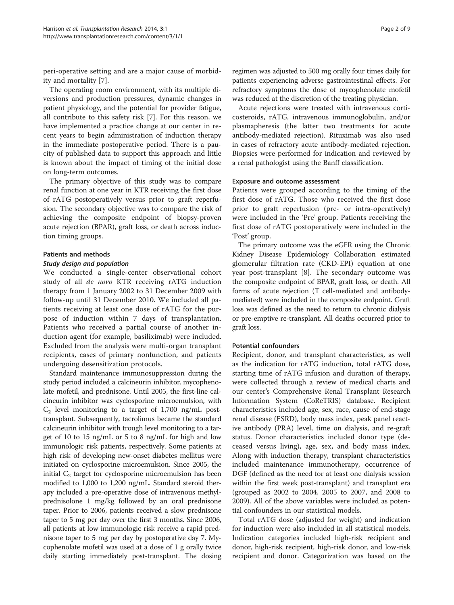peri-operative setting and are a major cause of morbidity and mortality [[7\]](#page-8-0).

The operating room environment, with its multiple diversions and production pressures, dynamic changes in patient physiology, and the potential for provider fatigue, all contribute to this safety risk [[7\]](#page-8-0). For this reason, we have implemented a practice change at our center in recent years to begin administration of induction therapy in the immediate postoperative period. There is a paucity of published data to support this approach and little is known about the impact of timing of the initial dose on long-term outcomes.

The primary objective of this study was to compare renal function at one year in KTR receiving the first dose of rATG postoperatively versus prior to graft reperfusion. The secondary objective was to compare the risk of achieving the composite endpoint of biopsy-proven acute rejection (BPAR), graft loss, or death across induction timing groups.

## Patients and methods

## Study design and population

We conducted a single-center observational cohort study of all de novo KTR receiving rATG induction therapy from 1 January 2002 to 31 December 2009 with follow-up until 31 December 2010. We included all patients receiving at least one dose of rATG for the purpose of induction within 7 days of transplantation. Patients who received a partial course of another induction agent (for example, basiliximab) were included. Excluded from the analysis were multi-organ transplant recipients, cases of primary nonfunction, and patients undergoing desensitization protocols.

Standard maintenance immunosuppression during the study period included a calcineurin inhibitor, mycophenolate mofetil, and prednisone. Until 2005, the first-line calcineurin inhibitor was cyclosporine microemulsion, with  $C_2$  level monitoring to a target of 1,700 ng/mL posttransplant. Subsequently, tacrolimus became the standard calcineurin inhibitor with trough level monitoring to a target of 10 to 15 ng/mL or 5 to 8 ng/mL for high and low immunologic risk patients, respectively. Some patients at high risk of developing new-onset diabetes mellitus were initiated on cyclosporine microemulsion. Since 2005, the initial  $C_2$  target for cyclosporine microemulsion has been modified to 1,000 to 1,200 ng/mL. Standard steroid therapy included a pre-operative dose of intravenous methylprednisolone 1 mg/kg followed by an oral prednisone taper. Prior to 2006, patients received a slow prednisone taper to 5 mg per day over the first 3 months. Since 2006, all patients at low immunologic risk receive a rapid prednisone taper to 5 mg per day by postoperative day 7. Mycophenolate mofetil was used at a dose of 1 g orally twice daily starting immediately post-transplant. The dosing

regimen was adjusted to 500 mg orally four times daily for patients experiencing adverse gastrointestinal effects. For refractory symptoms the dose of mycophenolate mofetil was reduced at the discretion of the treating physician.

Acute rejections were treated with intravenous corticosteroids, rATG, intravenous immunoglobulin, and/or plasmapheresis (the latter two treatments for acute antibody-mediated rejection). Rituximab was also used in cases of refractory acute antibody-mediated rejection. Biopsies were performed for indication and reviewed by a renal pathologist using the Banff classification.

### Exposure and outcome assessment

Patients were grouped according to the timing of the first dose of rATG. Those who received the first dose prior to graft reperfusion (pre- or intra-operatively) were included in the 'Pre' group. Patients receiving the first dose of rATG postoperatively were included in the 'Post' group.

The primary outcome was the eGFR using the Chronic Kidney Disease Epidemiology Collaboration estimated glomerular filtration rate (CKD-EPI) equation at one year post-transplant [\[8](#page-8-0)]. The secondary outcome was the composite endpoint of BPAR, graft loss, or death. All forms of acute rejection (T cell-mediated and antibodymediated) were included in the composite endpoint. Graft loss was defined as the need to return to chronic dialysis or pre-emptive re-transplant. All deaths occurred prior to graft loss.

## Potential confounders

Recipient, donor, and transplant characteristics, as well as the indication for rATG induction, total rATG dose, starting time of rATG infusion and duration of therapy, were collected through a review of medical charts and our center's Comprehensive Renal Transplant Research Information System (CoReTRIS) database. Recipient characteristics included age, sex, race, cause of end-stage renal disease (ESRD), body mass index, peak panel reactive antibody (PRA) level, time on dialysis, and re-graft status. Donor characteristics included donor type (deceased versus living), age, sex, and body mass index. Along with induction therapy, transplant characteristics included maintenance immunotherapy, occurrence of DGF (defined as the need for at least one dialysis session within the first week post-transplant) and transplant era (grouped as 2002 to 2004, 2005 to 2007, and 2008 to 2009). All of the above variables were included as potential confounders in our statistical models.

Total rATG dose (adjusted for weight) and indication for induction were also included in all statistical models. Indication categories included high-risk recipient and donor, high-risk recipient, high-risk donor, and low-risk recipient and donor. Categorization was based on the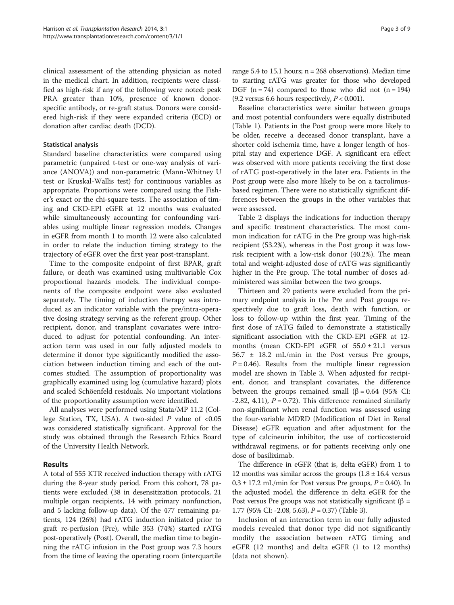clinical assessment of the attending physician as noted in the medical chart. In addition, recipients were classified as high-risk if any of the following were noted: peak PRA greater than 10%, presence of known donorspecific antibody, or re-graft status. Donors were considered high-risk if they were expanded criteria (ECD) or donation after cardiac death (DCD).

## Statistical analysis

Standard baseline characteristics were compared using parametric (unpaired t-test or one-way analysis of variance (ANOVA)) and non-parametric (Mann-Whitney U test or Kruskal-Wallis test) for continuous variables as appropriate. Proportions were compared using the Fisher's exact or the chi-square tests. The association of timing and CKD-EPI eGFR at 12 months was evaluated while simultaneously accounting for confounding variables using multiple linear regression models. Changes in eGFR from month 1 to month 12 were also calculated in order to relate the induction timing strategy to the trajectory of eGFR over the first year post-transplant.

Time to the composite endpoint of first BPAR, graft failure, or death was examined using multivariable Cox proportional hazards models. The individual components of the composite endpoint were also evaluated separately. The timing of induction therapy was introduced as an indicator variable with the pre/intra-operative dosing strategy serving as the referent group. Other recipient, donor, and transplant covariates were introduced to adjust for potential confounding. An interaction term was used in our fully adjusted models to determine if donor type significantly modified the association between induction timing and each of the outcomes studied. The assumption of proportionality was graphically examined using log (cumulative hazard) plots and scaled Schöenfeld residuals. No important violations of the proportionality assumption were identified.

All analyses were performed using Stata/MP 11.2 (College Station, TX, USA). A two-sided  $P$  value of <0.05 was considered statistically significant. Approval for the study was obtained through the Research Ethics Board of the University Health Network.

## Results

A total of 555 KTR received induction therapy with rATG during the 8-year study period. From this cohort, 78 patients were excluded (38 in desensitization protocols, 21 multiple organ recipients, 14 with primary nonfunction, and 5 lacking follow-up data). Of the 477 remaining patients, 124 (26%) had rATG induction initiated prior to graft re-perfusion (Pre), while 353 (74%) started rATG post-operatively (Post). Overall, the median time to beginning the rATG infusion in the Post group was 7.3 hours from the time of leaving the operating room (interquartile range  $5.4$  to  $15.1$  hours;  $n = 268$  observations). Median time to starting rATG was greater for those who developed DGF  $(n = 74)$  compared to those who did not  $(n = 194)$ (9.2 versus 6.6 hours respectively,  $P < 0.001$ ).

Baseline characteristics were similar between groups and most potential confounders were equally distributed (Table [1](#page-3-0)). Patients in the Post group were more likely to be older, receive a deceased donor transplant, have a shorter cold ischemia time, have a longer length of hospital stay and experience DGF. A significant era effect was observed with more patients receiving the first dose of rATG post-operatively in the later era. Patients in the Post group were also more likely to be on a tacrolimusbased regimen. There were no statistically significant differences between the groups in the other variables that were assessed.

Table [2](#page-4-0) displays the indications for induction therapy and specific treatment characteristics. The most common indication for rATG in the Pre group was high-risk recipient (53.2%), whereas in the Post group it was lowrisk recipient with a low-risk donor (40.2%). The mean total and weight-adjusted dose of rATG was significantly higher in the Pre group. The total number of doses administered was similar between the two groups.

Thirteen and 29 patients were excluded from the primary endpoint analysis in the Pre and Post groups respectively due to graft loss, death with function, or loss to follow-up within the first year. Timing of the first dose of rATG failed to demonstrate a statistically significant association with the CKD-EPI eGFR at 12 months (mean CKD-EPI eGFR of  $55.0 \pm 21.1$  versus 56.7 ± 18.2 mL/min in the Post versus Pre groups,  $P = 0.46$ ). Results from the multiple linear regression model are shown in Table [3.](#page-5-0) When adjusted for recipient, donor, and transplant covariates, the difference between the groups remained small ( $\beta$  = 0.64 (95% CI:  $-2.82, 4.11$ ,  $P = 0.72$ ). This difference remained similarly non-significant when renal function was assessed using the four-variable MDRD (Modification of Diet in Renal Disease) eGFR equation and after adjustment for the type of calcineurin inhibitor, the use of corticosteroid withdrawal regimens, or for patients receiving only one dose of basiliximab.

The difference in eGFR (that is, delta eGFR) from 1 to 12 months was similar across the groups  $(1.8 \pm 16.4 \text{ versus}$  $0.3 \pm 17.2$  mL/min for Post versus Pre groups,  $P = 0.40$ ). In the adjusted model, the difference in delta eGFR for the Post versus Pre groups was not statistically significant ( $\beta$  = 1.77 (95% CI: -2.08, 5.63), P = 0.37) (Table [3\)](#page-5-0).

Inclusion of an interaction term in our fully adjusted models revealed that donor type did not significantly modify the association between rATG timing and eGFR (12 months) and delta eGFR (1 to 12 months) (data not shown).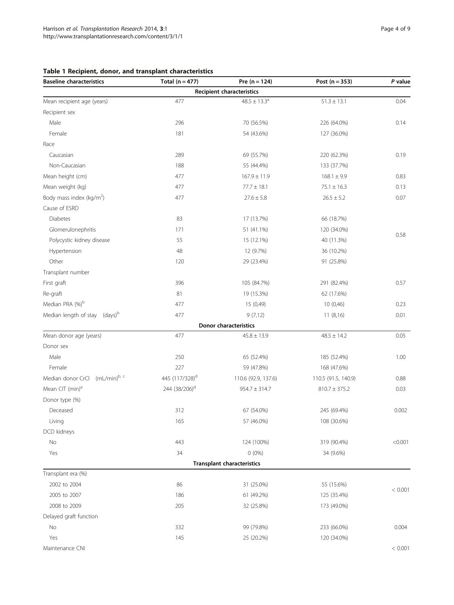| <b>Baseline characteristics</b>           | Total ( $n = 477$ )        | Pre $(n = 124)$                   | Post $(n = 353)$    | P value |
|-------------------------------------------|----------------------------|-----------------------------------|---------------------|---------|
|                                           |                            | <b>Recipient characteristics</b>  |                     |         |
| Mean recipient age (years)                | 477                        | $48.5 \pm 13.3^{\circ}$           | $51.3 \pm 13.1$     | 0.04    |
| Recipient sex                             |                            |                                   |                     |         |
| Male                                      | 296                        | 70 (56.5%)                        | 226 (64.0%)         | 0.14    |
| Female                                    | 181                        | 54 (43.6%)                        | 127 (36.0%)         |         |
| Race                                      |                            |                                   |                     |         |
| Caucasian                                 | 289                        | 69 (55.7%)                        | 220 (62.3%)         | 0.19    |
| Non-Caucasian                             | 188                        | 55 (44.4%)                        | 133 (37.7%)         |         |
| Mean height (cm)                          | 477                        | $167.9 \pm 11.9$                  | $168.1 \pm 9.9$     | 0.83    |
| Mean weight (kg)                          | 477                        | $77.7 \pm 18.1$                   | $75.1 \pm 16.3$     | 0.13    |
| Body mass index (kg/m <sup>2</sup> )      | 477                        | $27.6 \pm 5.8$                    | $26.5\pm5.2$        | 0.07    |
| Cause of ESRD                             |                            |                                   |                     |         |
| Diabetes                                  | 83                         | 17 (13.7%)                        | 66 (18.7%)          |         |
| Glomerulonephritis                        | 171                        | 51 (41.1%)                        | 120 (34.0%)         |         |
| Polycystic kidney disease                 | 55                         | 15 (12.1%)                        | 40 (11.3%)          | 0.58    |
| Hypertension                              | 48                         | 12 (9.7%)                         | 36 (10.2%)          |         |
| Other                                     | 120                        | 29 (23.4%)                        | 91 (25.8%)          |         |
| Transplant number                         |                            |                                   |                     |         |
| First graft                               | 396                        | 105 (84.7%)                       | 291 (82.4%)         | 0.57    |
| Re-graft                                  | 81                         | 19 (15.3%)                        | 62 (17.6%)          |         |
| Median PRA (%)b                           | 477                        | 15 (0,49)                         | 10(0,46)            | 0.23    |
| Median length of stay (days) <sup>b</sup> | 477                        | 9(7,12)                           | 11(8,16)            | 0.01    |
|                                           |                            | Donor characteristics             |                     |         |
| Mean donor age (years)                    | 477                        | $45.8 \pm 13.9$                   | $48.5 \pm 14.2$     | 0.05    |
| Donor sex                                 |                            |                                   |                     |         |
| Male                                      | 250                        | 65 (52.4%)                        | 185 (52.4%)         | 1.00    |
| Female                                    | 227                        | 59 (47.8%)                        | 168 (47.6%)         |         |
| Median donor CrCl (mL/min)b, c            | 445 (117/328) <sup>d</sup> | 110.6 (92.9, 137.6)               | 110.5 (91.5, 140.9) | 0.88    |
| Mean CIT (min) <sup>e</sup>               | 244 (38/206) <sup>d</sup>  | $954.7 \pm 314.7$                 | $810.7 \pm 375.2$   | 0.03    |
| Donor type (%)                            |                            |                                   |                     |         |
| Deceased                                  | 312                        | 67 (54.0%)                        | 245 (69.4%)         | 0.002   |
| Living                                    | 165                        | 57 (46.0%)                        | 108 (30.6%)         |         |
| DCD kidneys                               |                            |                                   |                     |         |
| No                                        | 443                        | 124 (100%)                        | 319 (90.4%)         | < 0.001 |
| Yes                                       | 34                         | $0(0\%)$                          | 34 (9.6%)           |         |
|                                           |                            | <b>Transplant characteristics</b> |                     |         |
| Transplant era (%)                        |                            |                                   |                     |         |
| 2002 to 2004                              | 86                         | 31 (25.0%)                        | 55 (15.6%)          | < 0.001 |
| 2005 to 2007                              | 186                        | 61 (49.2%)                        | 125 (35.4%)         |         |
| 2008 to 2009                              | 205                        | 32 (25.8%)                        | 173 (49.0%)         |         |
| Delayed graft function                    |                            |                                   |                     |         |
| No                                        | 332                        | 99 (79.8%)                        | 233 (66.0%)         | 0.004   |
| Yes                                       | 145                        | 25 (20.2%)                        | 120 (34.0%)         |         |
| Maintenance CNI                           |                            |                                   |                     | < 0.001 |

# <span id="page-3-0"></span>Table 1 Recipient, donor, and transplant characteristics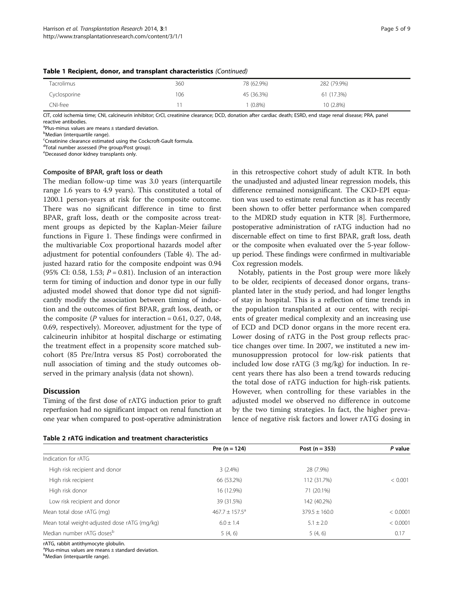| _____<br>_______ |     |            |             |
|------------------|-----|------------|-------------|
| Tacrolimus       | 360 | 78 (62.9%) | 282 (79.9%) |
| Cyclosporine     | 106 | 45 (36.3%) | 61 (17.3%)  |
| CNI-free         |     | $(0.8\%)$  | 10 (2.8%)   |

#### <span id="page-4-0"></span>Table 1 Recipient, donor, and transplant characteristics (Continued)

CIT, cold ischemia time; CNI, calcineurin inhibitor; CrCl, creatinine clearance; DCD, donation after cardiac death; ESRD, end stage renal disease; PRA, panel reactive antibodies.

<sup>a</sup>Plus-minus values are means ± standard deviation.

<sup>b</sup>Median (interquartile range).

<sup>c</sup>Creatinine clearance estimated using the Cockcroft-Gault formula.

d Total number assessed (Pre group/Post group).

e Deceased donor kidney transplants only.

#### Composite of BPAR, graft loss or death

The median follow-up time was 3.0 years (interquartile range 1.6 years to 4.9 years). This constituted a total of 1200.1 person-years at risk for the composite outcome. There was no significant difference in time to first BPAR, graft loss, death or the composite across treatment groups as depicted by the Kaplan-Meier failure functions in Figure [1](#page-5-0). These findings were confirmed in the multivariable Cox proportional hazards model after adjustment for potential confounders (Table [4\)](#page-6-0). The adjusted hazard ratio for the composite endpoint was 0.94 (95% CI: 0.58, 1.53;  $P = 0.81$ ). Inclusion of an interaction term for timing of induction and donor type in our fully adjusted model showed that donor type did not significantly modify the association between timing of induction and the outcomes of first BPAR, graft loss, death, or the composite ( $P$  values for interaction = 0.61, 0.27, 0.48, 0.69, respectively). Moreover, adjustment for the type of calcineurin inhibitor at hospital discharge or estimating the treatment effect in a propensity score matched subcohort (85 Pre/Intra versus 85 Post) corroborated the null association of timing and the study outcomes observed in the primary analysis (data not shown).

## **Discussion**

Timing of the first dose of rATG induction prior to graft reperfusion had no significant impact on renal function at one year when compared to post-operative administration in this retrospective cohort study of adult KTR. In both the unadjusted and adjusted linear regression models, this difference remained nonsignificant. The CKD-EPI equation was used to estimate renal function as it has recently been shown to offer better performance when compared to the MDRD study equation in KTR [\[8](#page-8-0)]. Furthermore, postoperative administration of rATG induction had no discernable effect on time to first BPAR, graft loss, death or the composite when evaluated over the 5-year followup period. These findings were confirmed in multivariable Cox regression models.

Notably, patients in the Post group were more likely to be older, recipients of deceased donor organs, transplanted later in the study period, and had longer lengths of stay in hospital. This is a reflection of time trends in the population transplanted at our center, with recipients of greater medical complexity and an increasing use of ECD and DCD donor organs in the more recent era. Lower dosing of rATG in the Post group reflects practice changes over time. In 2007, we instituted a new immunosuppression protocol for low-risk patients that included low dose rATG (3 mg/kg) for induction. In recent years there has also been a trend towards reducing the total dose of rATG induction for high-risk patients. However, when controlling for these variables in the adjusted model we observed no difference in outcome by the two timing strategies. In fact, the higher prevalence of negative risk factors and lower rATG dosing in

#### Table 2 rATG indication and treatment characteristics

|                                              | Pre $(n = 124)$     | Post $(n = 353)$ | P value  |
|----------------------------------------------|---------------------|------------------|----------|
| Indication for rATG                          |                     |                  |          |
| High risk recipient and donor                | 3(2.4%)             | 28 (7.9%)        |          |
| High risk recipient                          | 66 (53.2%)          | 112 (31.7%)      | < 0.001  |
| High risk donor                              | 16 (12.9%)          | 71 (20.1%)       |          |
| Low risk recipient and donor                 | 39 (31.5%)          | 142 (40.2%)      |          |
| Mean total dose rATG (mg)                    | $467.7 \pm 157.5^a$ | $379.5 + 160.0$  | < 0.0001 |
| Mean total weight-adjusted dose rATG (mg/kg) | $6.0 \pm 1.4$       | $5.1 \pm 2.0$    | < 0.0001 |
| Median number rATG dosesb                    | 5(4, 6)             | 5(4, 6)          | 0.17     |

rATG, rabbit antithymocyte globulin.

a Plus-minus values are means ± standard deviation.

<sup>b</sup>Median (interquartile range).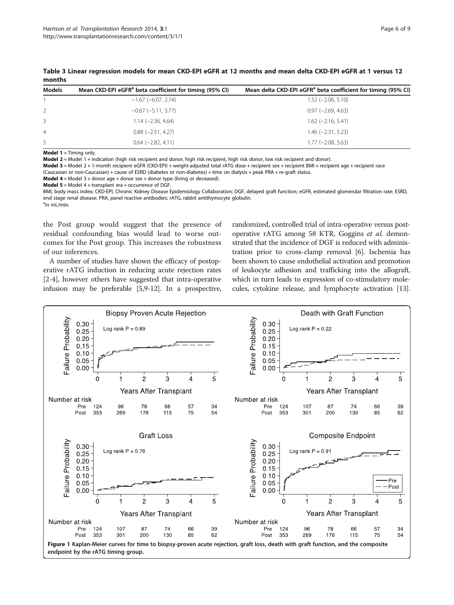| <b>Models</b>  | Mean CKD-EPI eGFR <sup>a</sup> beta coefficient for timing (95% CI) | Mean delta CKD-EPI eGFR <sup>a</sup> beta coefficient for timing (95% CI) |
|----------------|---------------------------------------------------------------------|---------------------------------------------------------------------------|
|                | $-1.67$ (-6.07, 2.74)                                               | $1.52$ (-2.06, 5.10)                                                      |
| 2              | $-0.67$ ( $-5.11$ , 3.77)                                           | $0.97$ (-2.69, 4.63)                                                      |
| 3              | $1.14 (-2.36, 4.64)$                                                | $1.62$ (-2.16, 5.41)                                                      |
| $\overline{4}$ | $0.88$ ( $-2.51$ , 4.27)                                            | $1.46$ ( $-2.31$ , 5.23)                                                  |
| .5             | $0.64$ (-2.82, 4.11)                                                | $1.77$ ( $-2.08$ , 5.63)                                                  |

<span id="page-5-0"></span>Table 3 Linear regression models for mean CKD-EPI eGFR at 12 months and mean delta CKD-EPI eGFR at 1 versus 12 months

**Model 1** = Timing only.

Model 2 = Model 1 + indication (high risk recipient and donor, high risk recipient, high risk donor, low risk recipient and donor).

Model 3 = Model 2 + 1-month recipient eGFR (CKD-EPI) + weight-adjusted total rATG dose + recipient sex + recipient BMI + recipient age + recipient race (Caucasian or non-Caucasian) + cause of ESRD (diabetes or non-diabetes) + time on dialysis + peak PRA + re-graft status.

**Model 4** = Model 3 + donor age + donor sex + donor type (living or deceased).

**Model 5** = Model 4 + transplant era + occurrence of DGF.

BMI, body mass index; CKD-EPI, Chronic Kidney Disease Epidemiology Collaboration; DGF, delayed graft function; eGFR, estimated glomerular filtration rate; ESRD, end stage renal disease; PRA, panel reactive antibodies; rATG, rabbit antithymocyte globulin. <sup>a</sup>in mL/min.

the Post group would suggest that the presence of residual confounding bias would lead to worse outcomes for the Post group. This increases the robustness of our inferences.

A number of studies have shown the efficacy of postoperative rATG induction in reducing acute rejection rates [[2-4\]](#page-7-0), however others have suggested that intra-operative infusion may be preferable [\[5,9-12\]](#page-8-0). In a prospective, randomized, controlled trial of intra-operative versus postoperative rATG among 58 KTR, Goggins et al. demonstrated that the incidence of DGF is reduced with administration prior to cross-clamp removal [\[6](#page-8-0)]. Ischemia has been shown to cause endothelial activation and promotion of leukocyte adhesion and trafficking into the allograft, which in turn leads to expression of co-stimulatory molecules, cytokine release, and lymphocyte activation [[13](#page-8-0)].

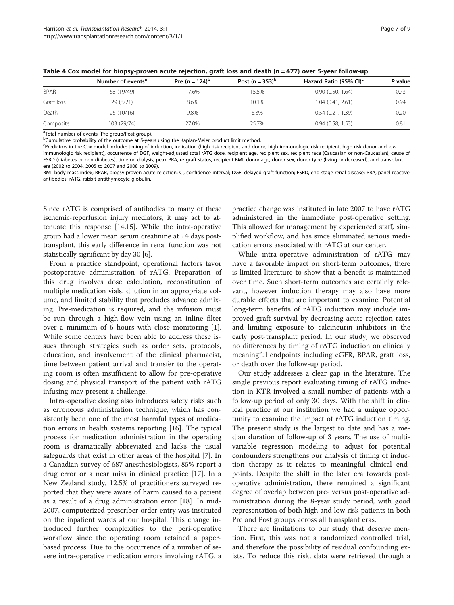|             | Number of events <sup>a</sup> | Pre (n = $124$ ) <sup>b</sup> | Post $(n = 353)^b$ | Hazard Ratio (95% CI) <sup>c</sup> | P value |
|-------------|-------------------------------|-------------------------------|--------------------|------------------------------------|---------|
| <b>BPAR</b> | 68 (19/49)                    | 17.6%                         | 15.5%              | 0.90(0.50, 1.64)                   | 0.73    |
| Graft loss  | 29 (8/21)                     | 8.6%                          | 10.1%              | 1.04(0.41, 2.61)                   | 0.94    |
| Death       | 26(10/16)                     | 9.8%                          | 6.3%               | 0.54(0.21, 1.39)                   | 0.20    |
| Composite   | 103 (29/74)                   | 27.0%                         | 25.7%              | 0.94(0.58, 1.53)                   | 0.81    |

<span id="page-6-0"></span>Table 4 Cox model for biopsy-proven acute rejection, graft loss and death (n = 477) over 5-year follow-up

<sup>a</sup>Total number of events (Pre group/Post group).

<sup>b</sup>Cumulative probability of the outcome at 5-years using the Kaplan-Meier product limit method.

c Predictors in the Cox model include: timing of induction, indication (high risk recipient and donor, high immunologic risk recipient, high risk donor and low

immunologic risk recipient), occurrence of DGF, weight-adjusted total rATG dose, recipient age, recipient sex, recipient race (Caucasian or non-Caucasian), cause of ESRD (diabetes or non-diabetes), time on dialysis, peak PRA, re-graft status, recipient BMI, donor age, donor sex, donor type (living or deceased), and transplant era (2002 to 2004, 2005 to 2007 and 2008 to 2009).

BMI, body mass index; BPAR, biopsy-proven acute rejection; CI, confidence interval; DGF, delayed graft function; ESRD, end stage renal disease; PRA, panel reactive antibodies; rATG, rabbit antithymocyte globulin.

Since rATG is comprised of antibodies to many of these ischemic-reperfusion injury mediators, it may act to attenuate this response [[14,15\]](#page-8-0). While the intra-operative group had a lower mean serum creatinine at 14 days posttransplant, this early difference in renal function was not statistically significant by day 30 [[6\]](#page-8-0).

From a practice standpoint, operational factors favor postoperative administration of rATG. Preparation of this drug involves dose calculation, reconstitution of multiple medication vials, dilution in an appropriate volume, and limited stability that precludes advance admixing. Pre-medication is required, and the infusion must be run through a high-flow vein using an inline filter over a minimum of 6 hours with close monitoring [\[1](#page-7-0)]. While some centers have been able to address these issues through strategies such as order sets, protocols, education, and involvement of the clinical pharmacist, time between patient arrival and transfer to the operating room is often insufficient to allow for pre-operative dosing and physical transport of the patient with rATG infusing may present a challenge.

Intra-operative dosing also introduces safety risks such as erroneous administration technique, which has consistently been one of the most harmful types of medication errors in health systems reporting [\[16\]](#page-8-0). The typical process for medication administration in the operating room is dramatically abbreviated and lacks the usual safeguards that exist in other areas of the hospital [\[7](#page-8-0)]. In a Canadian survey of 687 anesthesiologists, 85% report a drug error or a near miss in clinical practice [\[17\]](#page-8-0). In a New Zealand study, 12.5% of practitioners surveyed reported that they were aware of harm caused to a patient as a result of a drug administration error [\[18\]](#page-8-0). In mid-2007, computerized prescriber order entry was instituted on the inpatient wards at our hospital. This change introduced further complexities to the peri-operative workflow since the operating room retained a paperbased process. Due to the occurrence of a number of severe intra-operative medication errors involving rATG, a

practice change was instituted in late 2007 to have rATG administered in the immediate post-operative setting. This allowed for management by experienced staff, simplified workflow, and has since eliminated serious medication errors associated with rATG at our center.

While intra-operative administration of rATG may have a favorable impact on short-term outcomes, there is limited literature to show that a benefit is maintained over time. Such short-term outcomes are certainly relevant, however induction therapy may also have more durable effects that are important to examine. Potential long-term benefits of rATG induction may include improved graft survival by decreasing acute rejection rates and limiting exposure to calcineurin inhibitors in the early post-transplant period. In our study, we observed no differences by timing of rATG induction on clinically meaningful endpoints including eGFR, BPAR, graft loss, or death over the follow-up period.

Our study addresses a clear gap in the literature. The single previous report evaluating timing of rATG induction in KTR involved a small number of patients with a follow-up period of only 30 days. With the shift in clinical practice at our institution we had a unique opportunity to examine the impact of rATG induction timing. The present study is the largest to date and has a median duration of follow-up of 3 years. The use of multivariable regression modeling to adjust for potential confounders strengthens our analysis of timing of induction therapy as it relates to meaningful clinical endpoints. Despite the shift in the later era towards postoperative administration, there remained a significant degree of overlap between pre- versus post-operative administration during the 8-year study period, with good representation of both high and low risk patients in both Pre and Post groups across all transplant eras.

There are limitations to our study that deserve mention. First, this was not a randomized controlled trial, and therefore the possibility of residual confounding exists. To reduce this risk, data were retrieved through a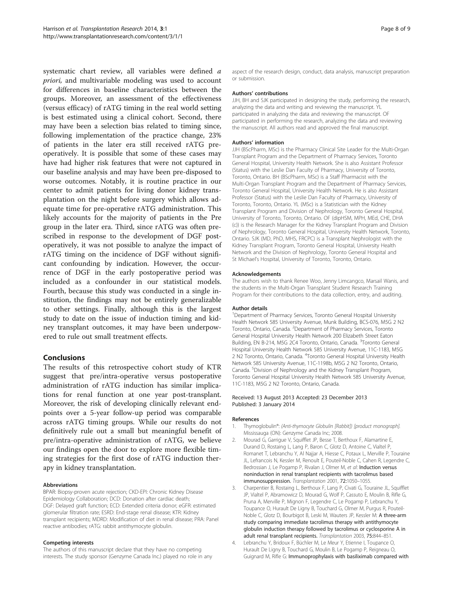<span id="page-7-0"></span>systematic chart review, all variables were defined a priori, and multivariable modeling was used to account for differences in baseline characteristics between the groups. Moreover, an assessment of the effectiveness (versus efficacy) of rATG timing in the real world setting is best estimated using a clinical cohort. Second, there may have been a selection bias related to timing since, following implementation of the practice change, 23% of patients in the later era still received rATG preoperatively. It is possible that some of these cases may have had higher risk features that were not captured in our baseline analysis and may have been pre-disposed to worse outcomes. Notably, it is routine practice in our center to admit patients for living donor kidney transplantation on the night before surgery which allows adequate time for pre-operative rATG administration. This likely accounts for the majority of patients in the Pre group in the later era. Third, since rATG was often prescribed in response to the development of DGF postoperatively, it was not possible to analyze the impact of rATG timing on the incidence of DGF without significant confounding by indication. However, the occurrence of DGF in the early postoperative period was included as a confounder in our statistical models. Fourth, because this study was conducted in a single institution, the findings may not be entirely generalizable to other settings. Finally, although this is the largest study to date on the issue of induction timing and kidney transplant outcomes, it may have been underpowered to rule out small treatment effects.

## Conclusions

The results of this retrospective cohort study of KTR suggest that pre/intra-operative versus postoperative administration of rATG induction has similar implications for renal function at one year post-transplant. Moreover, the risk of developing clinically relevant endpoints over a 5-year follow-up period was comparable across rATG timing groups. While our results do not definitively rule out a small but meaningful benefit of pre/intra-operative administration of rATG, we believe our findings open the door to explore more flexible timing strategies for the first dose of rATG induction therapy in kidney transplantation.

#### Abbreviations

BPAR: Biopsy-proven acute rejection; CKD-EPI: Chronic Kidney Disease Epidemiology Collaboration; DCD: Donation after cardiac death; DGF: Delayed graft function; ECD: Extended criteria donor; eGFR: estimated glomerular filtration rate; ESRD: End-stage renal disease; KTR: Kidney transplant recipients; MDRD: Modification of diet in renal disease; PRA: Panel reactive antibodies; rATG: rabbit antithymocyte globulin.

#### Competing interests

The authors of this manuscript declare that they have no competing interests. The study sponsor (Genzyme Canada Inc.) played no role in any

aspect of the research design, conduct, data analysis, manuscript preparation or submission.

#### Authors' contributions

JJH, BH and SJK participated in designing the study, performing the research, analyzing the data and writing and reviewing the manuscript. YL participated in analyzing the data and reviewing the manuscript. OF participated in performing the research, analyzing the data and reviewing the manuscript. All authors read and approved the final manuscript.

#### Authors' information

JJH (BScPharm, MSc) is the Pharmacy Clinical Site Leader for the Multi-Organ Transplant Program and the Department of Pharmacy Services, Toronto General Hospital, University Health Network. She is also Assistant Professor (Status) with the Leslie Dan Faculty of Pharmacy, University of Toronto, Toronto, Ontario. BH (BScPharm, MSc) is a Staff Pharmacist with the Multi-Organ Transplant Program and the Department of Pharmacy Services, Toronto General Hospital, University Health Network. He is also Assistant Professor (Status) with the Leslie Dan Faculty of Pharmacy, University of Toronto, Toronto, Ontario. YL (MSc) is a Statistician with the Kidney Transplant Program and Division of Nephrology, Toronto General Hospital, University of Toronto, Toronto, Ontario. OF (dipHSM, MPH, MEd, CHE, DHA (c)) is the Research Manager for the Kidney Transplant Program and Division of Nephrology, Toronto General Hospital, University Health Network, Toronto, Ontario. SJK (MD, PhD, MHS, FRCPC) is a Transplant Nephrologist with the Kidney Transplant Program, Toronto General Hospital, University Health Network and the Division of Nephrology, Toronto General Hospital and St Michael's Hospital, University of Toronto, Toronto, Ontario.

#### Acknowledgements

The authors wish to thank Renee Woo, Jenny Limcangco, Marsail Wanis, and the students in the Multi-Organ Transplant Student Research Training Program for their contributions to the data collection, entry, and auditing.

#### Author details

<sup>1</sup>Department of Pharmacy Services, Toronto General Hospital University Health Network 585 University Avenue, Munk Building, BCS-076, M5G 2 N2 Toronto, Ontario, Canada. <sup>2</sup>Department of Pharmacy Services, Toronto General Hospital University Health Network 200 Elizabeth Street Eaton Building, EN B-214, M5G 2C4 Toronto, Ontario, Canada. <sup>3</sup>Toronto General Hospital University Health Network 585 University Avenue, 11C-1183, M5G 2 N2 Toronto, Ontario, Canada. <sup>4</sup>Toronto General Hospital University Health Network 585 University Avenue, 11C-1198b, M5G 2 N2 Toronto, Ontario, Canada. <sup>5</sup> Division of Nephrology and the Kidney Transplant Program, Toronto General Hospital University Health Network 585 University Avenue, 11C-1183, M5G 2 N2 Toronto, Ontario, Canada.

#### Received: 13 August 2013 Accepted: 23 December 2013 Published: 3 January 2014

#### References

- Thymoglobulin®: (Anti-thymocyte Globulin [Rabbit]) [product monograph]. Mississauga (ON): Genzyme Canada Inc; 2008.
- 2. Mourad G, Garrigue V, Squifflet JP, Besse T, Berthoux F, Alamartine E, Durand D, Rostaing L, Lang P, Baron C, Glotz D, Antoine C, Vialtel P, Romanet T, Lebranchu Y, Al Najjar A, Hiesse C, Potaux L, Merville P, Touraine JL, Lefrancois N, Kessler M, Renoult E, Pouteil-Noble C, Cahen R, Legendre C, Bedrossian J, Le Pogamp P, Rivalan J, Olmer M, et al: Induction versus noninduction in renal transplant recipients with tacrolimus based immunosuppression. Transplantation 2001, 72:1050–1055.
- 3. Charpentier B, Rostaing L, Berthoux F, Lang P, Civati G, Touraine JL, Squifflet JP, Vialtel P, Abramowicz D, Mourad G, Wolf P, Cassuto E, Moulin B, Rifle G, Pruna A, Merville P, Mignon F, Legendre C, Le Pogamp P, Lebranchu Y, Toupance O, Hurault De Ligny B, Touchard G, Olmer M, Purgus R, Pouteil-Noble C, Glotz D, Bourbigot B, Leski M, Wauters JP, Kessler M: A three-arm study comparing immediate tacrolimus therapy with antithymocyte globulin induction therapy followed by tacrolimus or cyclosporine A in adult renal transplant recipients. Transplantation 2003, 75:844–851.
- 4. Lebranchu Y, Bridoux F, Büchler M, Le Meur Y, Etienne I, Toupance O, Hurault De Ligny B, Touchard G, Moulin B, Le Pogamp P, Reigneau O, Guignard M, Rifle G: Immunoprophylaxis with basiliximab compared with